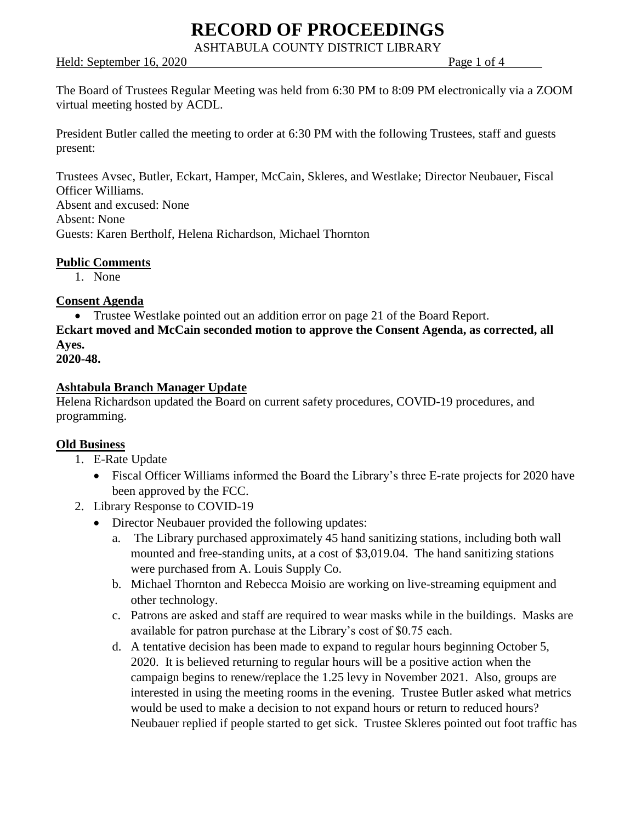ASHTABULA COUNTY DISTRICT LIBRARY

Held: September 16, 2020 Page 1 of 4

The Board of Trustees Regular Meeting was held from 6:30 PM to 8:09 PM electronically via a ZOOM virtual meeting hosted by ACDL.

President Butler called the meeting to order at 6:30 PM with the following Trustees, staff and guests present:

Trustees Avsec, Butler, Eckart, Hamper, McCain, Skleres, and Westlake; Director Neubauer, Fiscal Officer Williams. Absent and excused: None Absent: None Guests: Karen Bertholf, Helena Richardson, Michael Thornton

### **Public Comments**

1. None

### **Consent Agenda**

• Trustee Westlake pointed out an addition error on page 21 of the Board Report.

**Eckart moved and McCain seconded motion to approve the Consent Agenda, as corrected, all Ayes.**

```
2020-48.
```
### **Ashtabula Branch Manager Update**

Helena Richardson updated the Board on current safety procedures, COVID-19 procedures, and programming.

## **Old Business**

- 1. E-Rate Update
	- Fiscal Officer Williams informed the Board the Library's three E-rate projects for 2020 have been approved by the FCC.
- 2. Library Response to COVID-19
	- Director Neubauer provided the following updates:
		- a. The Library purchased approximately 45 hand sanitizing stations, including both wall mounted and free-standing units, at a cost of \$3,019.04. The hand sanitizing stations were purchased from A. Louis Supply Co.
		- b. Michael Thornton and Rebecca Moisio are working on live-streaming equipment and other technology.
		- c. Patrons are asked and staff are required to wear masks while in the buildings. Masks are available for patron purchase at the Library's cost of \$0.75 each.
		- d. A tentative decision has been made to expand to regular hours beginning October 5, 2020. It is believed returning to regular hours will be a positive action when the campaign begins to renew/replace the 1.25 levy in November 2021. Also, groups are interested in using the meeting rooms in the evening. Trustee Butler asked what metrics would be used to make a decision to not expand hours or return to reduced hours? Neubauer replied if people started to get sick. Trustee Skleres pointed out foot traffic has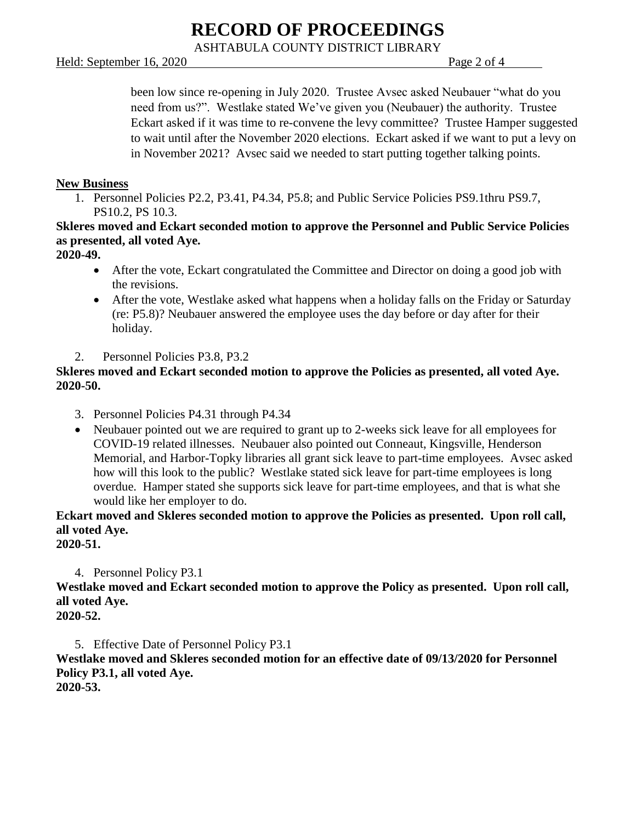ASHTABULA COUNTY DISTRICT LIBRARY

#### Held: September 16, 2020 Page 2 of 4

been low since re-opening in July 2020. Trustee Avsec asked Neubauer "what do you need from us?". Westlake stated We've given you (Neubauer) the authority. Trustee Eckart asked if it was time to re-convene the levy committee? Trustee Hamper suggested to wait until after the November 2020 elections. Eckart asked if we want to put a levy on in November 2021? Avsec said we needed to start putting together talking points.

#### **New Business**

1. Personnel Policies P2.2, P3.41, P4.34, P5.8; and Public Service Policies PS9.1thru PS9.7, PS10.2, PS 10.3.

**Skleres moved and Eckart seconded motion to approve the Personnel and Public Service Policies as presented, all voted Aye.**

#### **2020-49.**

- After the vote, Eckart congratulated the Committee and Director on doing a good job with the revisions.
- After the vote, Westlake asked what happens when a holiday falls on the Friday or Saturday (re: P5.8)? Neubauer answered the employee uses the day before or day after for their holiday.
- 2. Personnel Policies P3.8, P3.2

## **Skleres moved and Eckart seconded motion to approve the Policies as presented, all voted Aye. 2020-50.**

- 3. Personnel Policies P4.31 through P4.34
- Neubauer pointed out we are required to grant up to 2-weeks sick leave for all employees for COVID-19 related illnesses. Neubauer also pointed out Conneaut, Kingsville, Henderson Memorial, and Harbor-Topky libraries all grant sick leave to part-time employees. Avsec asked how will this look to the public? Westlake stated sick leave for part-time employees is long overdue. Hamper stated she supports sick leave for part-time employees, and that is what she would like her employer to do.

**Eckart moved and Skleres seconded motion to approve the Policies as presented. Upon roll call, all voted Aye. 2020-51.**

4. Personnel Policy P3.1

**Westlake moved and Eckart seconded motion to approve the Policy as presented. Upon roll call, all voted Aye.**

**2020-52.**

5. Effective Date of Personnel Policy P3.1 **Westlake moved and Skleres seconded motion for an effective date of 09/13/2020 for Personnel Policy P3.1, all voted Aye. 2020-53.**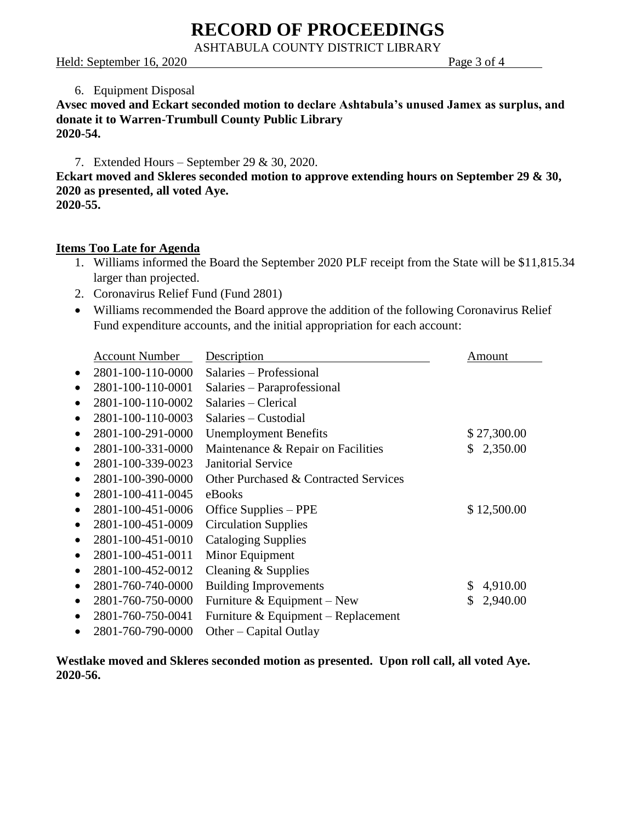ASHTABULA COUNTY DISTRICT LIBRARY

#### Held: September 16, 2020 Page 3 of 4

#### 6. Equipment Disposal

#### **Avsec moved and Eckart seconded motion to declare Ashtabula's unused Jamex as surplus, and donate it to Warren-Trumbull County Public Library 2020-54.**

7. Extended Hours – September 29 & 30, 2020.

**Eckart moved and Skleres seconded motion to approve extending hours on September 29 & 30, 2020 as presented, all voted Aye. 2020-55.**

#### **Items Too Late for Agenda**

- 1. Williams informed the Board the September 2020 PLF receipt from the State will be \$11,815.34 larger than projected.
- 2. Coronavirus Relief Fund (Fund 2801)
- Williams recommended the Board approve the addition of the following Coronavirus Relief Fund expenditure accounts, and the initial appropriation for each account:

|           | <b>Account Number</b> | Description                           | Amount         |
|-----------|-----------------------|---------------------------------------|----------------|
|           | 2801-100-110-0000     | Salaries - Professional               |                |
| $\bullet$ | 2801-100-110-0001     | Salaries – Paraprofessional           |                |
| $\bullet$ | 2801-100-110-0002     | Salaries – Clerical                   |                |
| ٠         | 2801-100-110-0003     | Salaries – Custodial                  |                |
| $\bullet$ | 2801-100-291-0000     | <b>Unemployment Benefits</b>          | \$27,300.00    |
| $\bullet$ | 2801-100-331-0000     | Maintenance & Repair on Facilities    | 2,350.00<br>\$ |
| $\bullet$ | 2801-100-339-0023     | <b>Janitorial Service</b>             |                |
| $\bullet$ | 2801-100-390-0000     | Other Purchased & Contracted Services |                |
| $\bullet$ | 2801-100-411-0045     | eBooks                                |                |
| $\bullet$ | 2801-100-451-0006     | Office Supplies – PPE                 | \$12,500.00    |
| $\bullet$ | 2801-100-451-0009     | <b>Circulation Supplies</b>           |                |
| $\bullet$ | 2801-100-451-0010     | <b>Cataloging Supplies</b>            |                |
|           | 2801-100-451-0011     | Minor Equipment                       |                |
| $\bullet$ | 2801-100-452-0012     | Cleaning & Supplies                   |                |
| $\bullet$ | 2801-760-740-0000     | <b>Building Improvements</b>          | \$<br>4,910.00 |
| $\bullet$ | 2801-760-750-0000     | Furniture & Equipment – New           | \$<br>2,940.00 |
| $\bullet$ | 2801-760-750-0041     | Furniture & Equipment – Replacement   |                |
|           | 2801-760-790-0000     | Other – Capital Outlay                |                |

**Westlake moved and Skleres seconded motion as presented. Upon roll call, all voted Aye. 2020-56.**